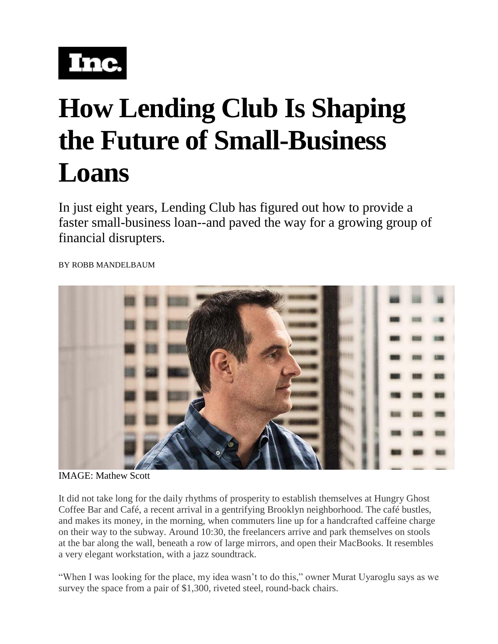

## **How Lending Club Is Shaping the Future of Small-Business Loans**

In just eight years, Lending Club has figured out how to provide a faster small-business loan--and paved the way for a growing group of financial disrupters.

BY [ROBB MANDELBAUM](http://www.inc.com/author/robb-mandelbaum)



IMAGE: Mathew Scott

It did not take long for the daily rhythms of prosperity to establish themselves at Hungry Ghost Coffee Bar and Café, a recent arrival in a gentrifying Brooklyn neighborhood. The café bustles, and makes its money, in the morning, when commuters line up for a handcrafted caffeine charge on their way to the subway. Around 10:30, the freelancers arrive and park themselves on stools at the bar along the wall, beneath a row of large mirrors, and open their MacBooks. It resembles a very elegant workstation, with a jazz soundtrack.

"When I was looking for the place, my idea wasn't to do this," owner Murat Uyaroglu says as we survey the space from a pair of \$1,300, riveted steel, round-back chairs.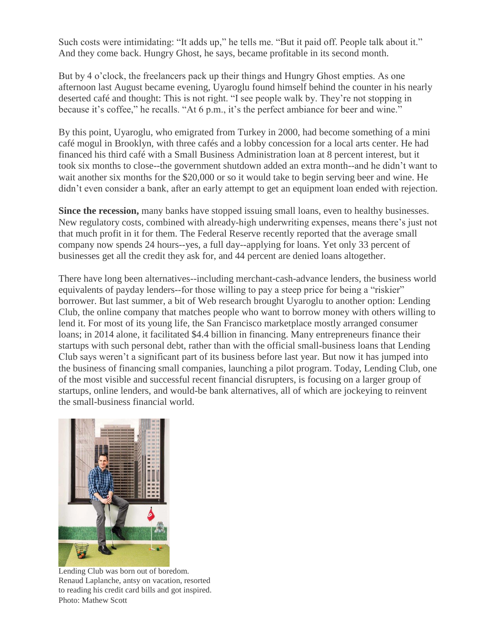Such costs were intimidating: "It adds up," he tells me. "But it paid off. People talk about it." And they come back. Hungry Ghost, he says, became profitable in its second month.

But by 4 o'clock, the freelancers pack up their things and Hungry Ghost empties. As one afternoon last August became evening, Uyaroglu found himself behind the counter in his nearly deserted café and thought: This is not right. "I see people walk by. They're not stopping in because it's coffee," he recalls. "At 6 p.m., it's the perfect ambiance for beer and wine."

By this point, Uyaroglu, who emigrated from Turkey in 2000, had become something of a mini café mogul in Brooklyn, with three cafés and a lobby concession for a local arts center. He had financed his third café with a Small Business Administration loan at 8 percent interest, but it took six months to close--the government shutdown added an extra month--and he didn't want to wait another six months for the \$20,000 or so it would take to begin serving beer and wine. He didn't even consider a bank, after an early attempt to get an equipment loan ended with rejection.

**Since the recession,** many banks have stopped issuing small loans, even to healthy businesses. New regulatory costs, combined with already-high underwriting expenses, means there's just not that much profit in it for them. The Federal Reserve recently reported that the average small company now spends 24 hours--yes, a full day--applying for loans. Yet only 33 percent of businesses get all the credit they ask for, and 44 percent are denied loans altogether.

There have long been alternatives--including merchant-cash-advance lenders, the business world equivalents of payday lenders--for those willing to pay a steep price for being a "riskier" borrower. But last summer, a bit of Web research brought Uyaroglu to another option: Lending Club, the online company that matches people who want to borrow money with others willing to lend it. For most of its young life, the San Francisco marketplace mostly arranged consumer loans; in 2014 alone, it facilitated \$4.4 billion in financing. Many entrepreneurs finance their startups with such personal debt, rather than with the official small-business loans that Lending Club says weren't a significant part of its business before last year. But now it has jumped into the business of financing small companies, launching a pilot program. Today, Lending Club, one of the most visible and successful recent financial disrupters, is focusing on a larger group of startups, online lenders, and would-be bank alternatives, all of which are jockeying to reinvent the small-business financial world.



Lending Club was born out of boredom. Renaud Laplanche, antsy on vacation, resorted to reading his credit card bills and got inspired. Photo: Mathew Scott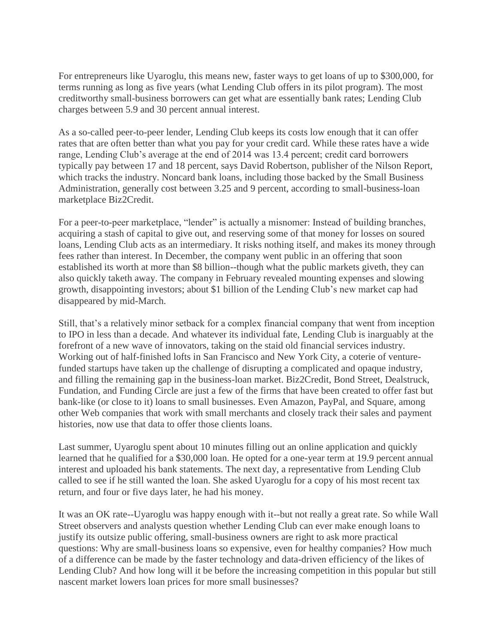For entrepreneurs like Uyaroglu, this means new, faster ways to get loans of up to \$300,000, for terms running as long as five years (what Lending Club offers in its pilot program). The most creditworthy small-business borrowers can get what are essentially bank rates; Lending Club charges between 5.9 and 30 percent annual interest.

As a so-called peer-to-peer lender, Lending Club keeps its costs low enough that it can offer rates that are often better than what you pay for your credit card. While these rates have a wide range, Lending Club's average at the end of 2014 was 13.4 percent; credit card borrowers typically pay between 17 and 18 percent, says David Robertson, publisher of the Nilson Report, which tracks the industry. Noncard bank loans, including those backed by the Small Business Administration, generally cost between 3.25 and 9 percent, according to small-business-loan marketplace Biz2Credit.

For a peer-to-peer marketplace, "lender" is actually a misnomer: Instead of building branches, acquiring a stash of capital to give out, and reserving some of that money for losses on soured loans, Lending Club acts as an intermediary. It risks nothing itself, and makes its money through fees rather than interest. In December, the company went public in an offering that soon established its worth at more than \$8 billion--though what the public markets giveth, they can also quickly taketh away. The company in February revealed mounting expenses and slowing growth, disappointing investors; about \$1 billion of the Lending Club's new market cap had disappeared by mid-March.

Still, that's a relatively minor setback for a complex financial company that went from inception to IPO in less than a decade. And whatever its individual fate, Lending Club is inarguably at the forefront of a new wave of innovators, taking on the staid old financial services industry. Working out of half-finished lofts in San Francisco and New York City, a coterie of venturefunded startups have taken up the challenge of disrupting a complicated and opaque industry, and filling the remaining gap in the business-loan market. Biz2Credit, Bond Street, Dealstruck, Fundation, and Funding Circle are just a few of the firms that have been created to offer fast but bank-like (or close to it) loans to small businesses. Even Amazon, PayPal, and Square, among other Web companies that work with small merchants and closely track their sales and payment histories, now use that data to offer those clients loans.

Last summer, Uyaroglu spent about 10 minutes filling out an online application and quickly learned that he qualified for a \$30,000 loan. He opted for a one-year term at 19.9 percent annual interest and uploaded his bank statements. The next day, a representative from Lending Club called to see if he still wanted the loan. She asked Uyaroglu for a copy of his most recent tax return, and four or five days later, he had his money.

It was an OK rate--Uyaroglu was happy enough with it--but not really a great rate. So while Wall Street observers and analysts question whether Lending Club can ever make enough loans to justify its outsize public offering, small-business owners are right to ask more practical questions: Why are small-business loans so expensive, even for healthy companies? How much of a difference can be made by the faster technology and data-driven efficiency of the likes of Lending Club? And how long will it be before the increasing competition in this popular but still nascent market lowers loan prices for more small businesses?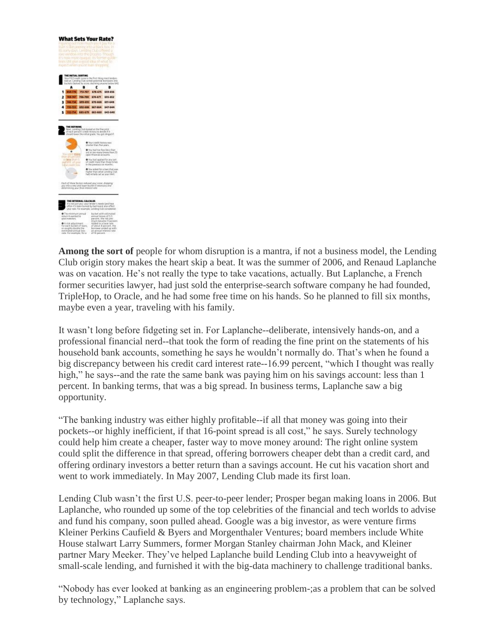

**Among the sort of** people for whom disruption is a mantra, if not a business model, the Lending Club origin story makes the heart skip a beat. It was the summer of 2006, and Renaud Laplanche was on vacation. He's not really the type to take vacations, actually. But Laplanche, a French former securities lawyer, had just sold the enterprise-search software company he had founded, TripleHop, to Oracle, and he had some free time on his hands. So he planned to fill six months, maybe even a year, traveling with his family.

It wasn't long before fidgeting set in. For Laplanche--deliberate, intensively hands-on, and a professional financial nerd--that took the form of reading the fine print on the statements of his household bank accounts, something he says he wouldn't normally do. That's when he found a big discrepancy between his credit card interest rate--16.99 percent, "which I thought was really high," he says--and the rate the same bank was paying him on his savings account: less than 1 percent. In banking terms, that was a big spread. In business terms, Laplanche saw a big opportunity.

"The banking industry was either highly profitable--if all that money was going into their pockets--or highly inefficient, if that 16-point spread is all cost," he says. Surely technology could help him create a cheaper, faster way to move money around: The right online system could split the difference in that spread, offering borrowers cheaper debt than a credit card, and offering ordinary investors a better return than a savings account. He cut his vacation short and went to work immediately. In May 2007, Lending Club made its first loan.

Lending Club wasn't the first U.S. peer-to-peer lender; Prosper began making loans in 2006. But Laplanche, who rounded up some of the top celebrities of the financial and tech worlds to advise and fund his company, soon pulled ahead. Google was a big investor, as were venture firms Kleiner Perkins Caufield & Byers and Morgenthaler Ventures; board members include White House stalwart Larry Summers, former Morgan Stanley chairman John Mack, and Kleiner partner Mary Meeker. They've helped Laplanche build Lending Club into a heavyweight of small-scale lending, and furnished it with the big-data machinery to challenge traditional banks.

"Nobody has ever looked at banking as an engineering problem-;as a problem that can be solved by technology," Laplanche says.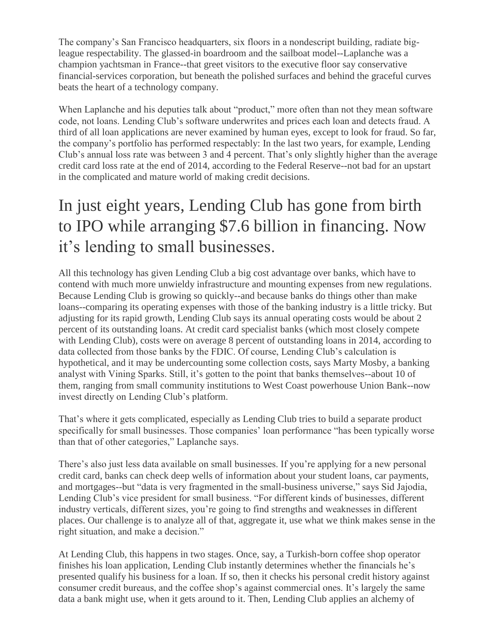The company's San Francisco headquarters, six floors in a nondescript building, radiate bigleague respectability. The glassed-in boardroom and the sailboat model--Laplanche was a champion yachtsman in France--that greet visitors to the executive floor say conservative financial-services corporation, but beneath the polished surfaces and behind the graceful curves beats the heart of a technology company.

When Laplanche and his deputies talk about "product," more often than not they mean software code, not loans. Lending Club's software underwrites and prices each loan and detects fraud. A third of all loan applications are never examined by human eyes, except to look for fraud. So far, the company's portfolio has performed respectably: In the last two years, for example, Lending Club's annual loss rate was between 3 and 4 percent. That's only slightly higher than the average credit card loss rate at the end of 2014, according to the Federal Reserve--not bad for an upstart in the complicated and mature world of making credit decisions.

## In just eight years, Lending Club has gone from birth to IPO while arranging \$7.6 billion in financing. Now it's lending to small businesses.

All this technology has given Lending Club a big cost advantage over banks, which have to contend with much more unwieldy infrastructure and mounting expenses from new regulations. Because Lending Club is growing so quickly--and because banks do things other than make loans--comparing its operating expenses with those of the banking industry is a little tricky. But adjusting for its rapid growth, Lending Club says its annual operating costs would be about 2 percent of its outstanding loans. At credit card specialist banks (which most closely compete with Lending Club), costs were on average 8 percent of outstanding loans in 2014, according to data collected from those banks by the FDIC. Of course, Lending Club's calculation is hypothetical, and it may be undercounting some collection costs, says Marty Mosby, a banking analyst with Vining Sparks. Still, it's gotten to the point that banks themselves--about 10 of them, ranging from small community institutions to West Coast powerhouse Union Bank--now invest directly on Lending Club's platform.

That's where it gets complicated, especially as Lending Club tries to build a separate product specifically for small businesses. Those companies' loan performance "has been typically worse than that of other categories," Laplanche says.

There's also just less data available on small businesses. If you're applying for a new personal credit card, banks can check deep wells of information about your student loans, car payments, and mortgages--but "data is very fragmented in the small-business universe," says Sid Jajodia, Lending Club's vice president for small business. "For different kinds of businesses, different industry verticals, different sizes, you're going to find strengths and weaknesses in different places. Our challenge is to analyze all of that, aggregate it, use what we think makes sense in the right situation, and make a decision."

At Lending Club, this happens in two stages. Once, say, a Turkish-born coffee shop operator finishes his loan application, Lending Club instantly determines whether the financials he's presented qualify his business for a loan. If so, then it checks his personal credit history against consumer credit bureaus, and the coffee shop's against commercial ones. It's largely the same data a bank might use, when it gets around to it. Then, Lending Club applies an alchemy of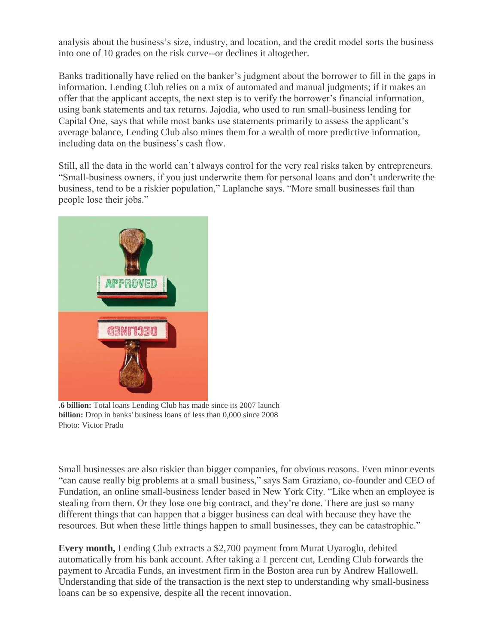analysis about the business's size, industry, and location, and the credit model sorts the business into one of 10 grades on the risk curve--or declines it altogether.

Banks traditionally have relied on the banker's judgment about the borrower to fill in the gaps in information. Lending Club relies on a mix of automated and manual judgments; if it makes an offer that the applicant accepts, the next step is to verify the borrower's financial information, using bank statements and tax returns. Jajodia, who used to run small-business lending for Capital One, says that while most banks use statements primarily to assess the applicant's average balance, Lending Club also mines them for a wealth of more predictive information, including data on the business's cash flow.

Still, all the data in the world can't always control for the very real risks taken by entrepreneurs. "Small-business owners, if you just underwrite them for personal loans and don't underwrite the business, tend to be a riskier population," Laplanche says. "More small businesses fail than people lose their jobs."



**.6 billion:** Total loans Lending Club has made since its 2007 launch **billion:** Drop in banks' business loans of less than 0,000 since 2008 Photo: Victor Prado

Small businesses are also riskier than bigger companies, for obvious reasons. Even minor events "can cause really big problems at a small business," says Sam Graziano, co-founder and CEO of Fundation, an online small-business lender based in New York City. "Like when an employee is stealing from them. Or they lose one big contract, and they're done. There are just so many different things that can happen that a bigger business can deal with because they have the resources. But when these little things happen to small businesses, they can be catastrophic."

**Every month,** Lending Club extracts a \$2,700 payment from Murat Uyaroglu, debited automatically from his bank account. After taking a 1 percent cut, Lending Club forwards the payment to Arcadia Funds, an investment firm in the Boston area run by Andrew Hallowell. Understanding that side of the transaction is the next step to understanding why small-business loans can be so expensive, despite all the recent innovation.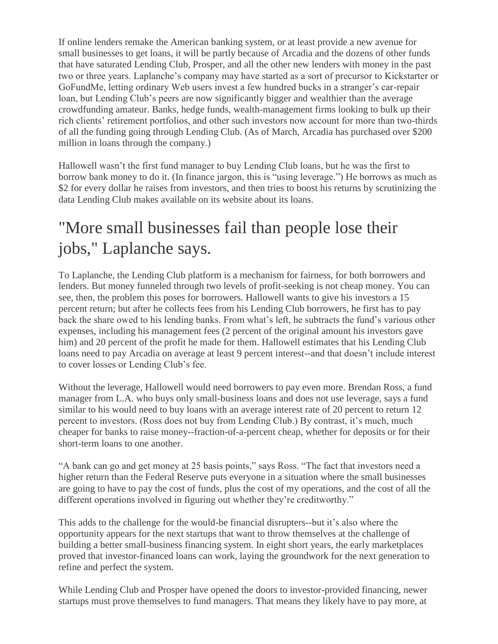If online lenders remake the American banking system, or at least provide a new avenue for small businesses to get loans, it will be partly because of Arcadia and the dozens of other funds that have saturated Lending Club, Prosper, and all the other new lenders with money in the past two or three years. Laplanche's company may have started as a sort of precursor to Kickstarter or GoFundMe, letting ordinary Web users invest a few hundred bucks in a stranger's car-repair loan, but Lending Club's peers are now significantly bigger and wealthier than the average crowdfunding amateur. Banks, hedge funds, wealth-management firms looking to bulk up their rich clients' retirement portfolios, and other such investors now account for more than two-thirds of all the funding going through Lending Club. (As of March, Arcadia has purchased over \$200 million in loans through the company.)

Hallowell wasn't the first fund manager to buy Lending Club loans, but he was the first to borrow bank money to do it. (In finance jargon, this is "using leverage.") He borrows as much as \$2 for every dollar he raises from investors, and then tries to boost his returns by scrutinizing the data Lending Club makes available on its website about its loans.

## "More small businesses fail than people lose their jobs," Laplanche says.

To Laplanche, the Lending Club platform is a mechanism for fairness, for both borrowers and lenders. But money funneled through two levels of profit-seeking is not cheap money. You can see, then, the problem this poses for borrowers. Hallowell wants to give his investors a 15 percent return; but after he collects fees from his Lending Club borrowers, he first has to pay back the share owed to his lending banks. From what's left, he subtracts the fund's various other expenses, including his management fees (2 percent of the original amount his investors gave him) and 20 percent of the profit he made for them. Hallowell estimates that his Lending Club loans need to pay Arcadia on average at least 9 percent interest--and that doesn't include interest to cover losses or Lending Club's fee.

Without the leverage, Hallowell would need borrowers to pay even more. Brendan Ross, a fund manager from L.A. who buys only small-business loans and does not use leverage, says a fund similar to his would need to buy loans with an average interest rate of 20 percent to return 12 percent to investors. (Ross does not buy from Lending Club.) By contrast, it's much, much cheaper for banks to raise money--fraction-of-a-percent cheap, whether for deposits or for their short-term loans to one another.

"A bank can go and get money at 25 basis points," says Ross. "The fact that investors need a higher return than the Federal Reserve puts everyone in a situation where the small businesses are going to have to pay the cost of funds, plus the cost of my operations, and the cost of all the different operations involved in figuring out whether they're creditworthy."

This adds to the challenge for the would-be financial disrupters--but it's also where the opportunity appears for the next startups that want to throw themselves at the challenge of building a better small-business financing system. In eight short years, the early marketplaces proved that investor-financed loans can work, laying the groundwork for the next generation to refine and perfect the system.

While Lending Club and Prosper have opened the doors to investor-provided financing, newer startups must prove themselves to fund managers. That means they likely have to pay more, at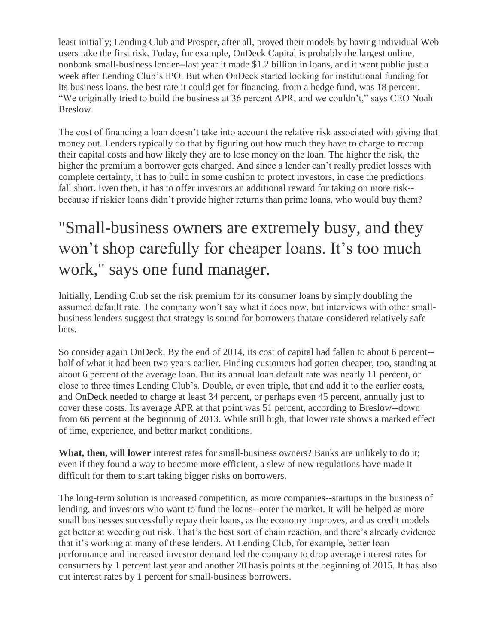least initially; Lending Club and Prosper, after all, proved their models by having individual Web users take the first risk. Today, for example, OnDeck Capital is probably the largest online, nonbank small-business lender--last year it made \$1.2 billion in loans, and it went public just a week after Lending Club's IPO. But when OnDeck started looking for institutional funding for its business loans, the best rate it could get for financing, from a hedge fund, was 18 percent. "We originally tried to build the business at 36 percent APR, and we couldn't," says CEO Noah Breslow.

The cost of financing a loan doesn't take into account the relative risk associated with giving that money out. Lenders typically do that by figuring out how much they have to charge to recoup their capital costs and how likely they are to lose money on the loan. The higher the risk, the higher the premium a borrower gets charged. And since a lender can't really predict losses with complete certainty, it has to build in some cushion to protect investors, in case the predictions fall short. Even then, it has to offer investors an additional reward for taking on more risk- because if riskier loans didn't provide higher returns than prime loans, who would buy them?

## "Small-business owners are extremely busy, and they won't shop carefully for cheaper loans. It's too much work," says one fund manager.

Initially, Lending Club set the risk premium for its consumer loans by simply doubling the assumed default rate. The company won't say what it does now, but interviews with other smallbusiness lenders suggest that strategy is sound for borrowers thatare considered relatively safe bets.

So consider again OnDeck. By the end of 2014, its cost of capital had fallen to about 6 percent- half of what it had been two years earlier. Finding customers had gotten cheaper, too, standing at about 6 percent of the average loan. But its annual loan default rate was nearly 11 percent, or close to three times Lending Club's. Double, or even triple, that and add it to the earlier costs, and OnDeck needed to charge at least 34 percent, or perhaps even 45 percent, annually just to cover these costs. Its average APR at that point was 51 percent, according to Breslow--down from 66 percent at the beginning of 2013. While still high, that lower rate shows a marked effect of time, experience, and better market conditions.

**What, then, will lower** interest rates for small-business owners? Banks are unlikely to do it; even if they found a way to become more efficient, a slew of new regulations have made it difficult for them to start taking bigger risks on borrowers.

The long-term solution is increased competition, as more companies--startups in the business of lending, and investors who want to fund the loans--enter the market. It will be helped as more small businesses successfully repay their loans, as the economy improves, and as credit models get better at weeding out risk. That's the best sort of chain reaction, and there's already evidence that it's working at many of these lenders. At Lending Club, for example, better loan performance and increased investor demand led the company to drop average interest rates for consumers by 1 percent last year and another 20 basis points at the beginning of 2015. It has also cut interest rates by 1 percent for small-business borrowers.